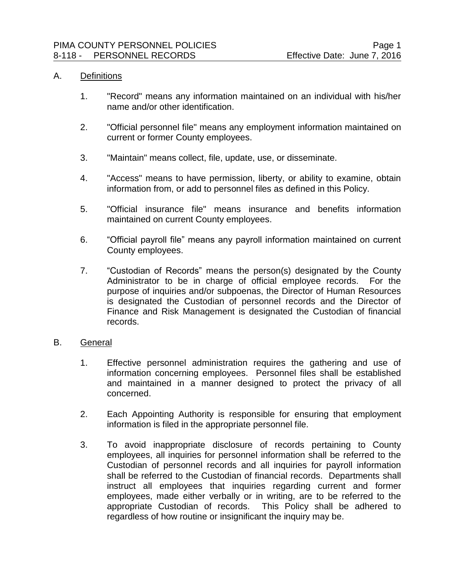#### A. Definitions

- 1. "Record" means any information maintained on an individual with his/her name and/or other identification.
- 2. "Official personnel file" means any employment information maintained on current or former County employees.
- 3. "Maintain" means collect, file, update, use, or disseminate.
- 4. "Access" means to have permission, liberty, or ability to examine, obtain information from, or add to personnel files as defined in this Policy.
- 5. "Official insurance file" means insurance and benefits information maintained on current County employees.
- 6. "Official payroll file" means any payroll information maintained on current County employees.
- 7. "Custodian of Records" means the person(s) designated by the County Administrator to be in charge of official employee records. For the purpose of inquiries and/or subpoenas, the Director of Human Resources is designated the Custodian of personnel records and the Director of Finance and Risk Management is designated the Custodian of financial records.

## B. General

- 1. Effective personnel administration requires the gathering and use of information concerning employees. Personnel files shall be established and maintained in a manner designed to protect the privacy of all concerned.
- 2. Each Appointing Authority is responsible for ensuring that employment information is filed in the appropriate personnel file.
- 3. To avoid inappropriate disclosure of records pertaining to County employees, all inquiries for personnel information shall be referred to the Custodian of personnel records and all inquiries for payroll information shall be referred to the Custodian of financial records. Departments shall instruct all employees that inquiries regarding current and former employees, made either verbally or in writing, are to be referred to the appropriate Custodian of records. This Policy shall be adhered to regardless of how routine or insignificant the inquiry may be.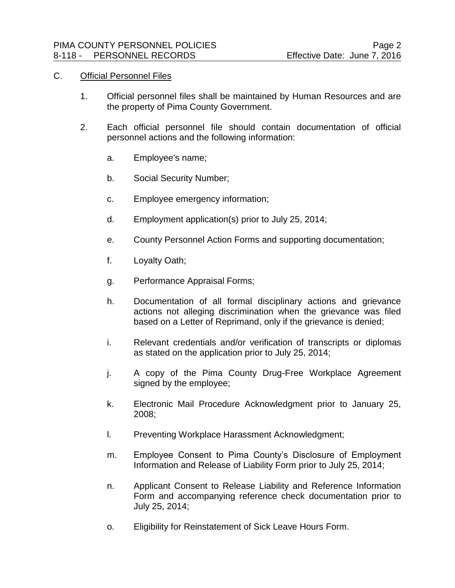### C. Official Personnel Files

- 1. Official personnel files shall be maintained by Human Resources and are the property of Pima County Government.
- 2. Each official personnel file should contain documentation of official personnel actions and the following information:
	- a. Employee's name;
	- b. Social Security Number;
	- c. Employee emergency information;
	- d. Employment application(s) prior to July 25, 2014;
	- e. County Personnel Action Forms and supporting documentation;
	- f. Loyalty Oath;
	- g. Performance Appraisal Forms;
	- h. Documentation of all formal disciplinary actions and grievance actions not alleging discrimination when the grievance was filed based on a Letter of Reprimand, only if the grievance is denied;
	- i. Relevant credentials and/or verification of transcripts or diplomas as stated on the application prior to July 25, 2014;
	- j. A copy of the Pima County Drug-Free Workplace Agreement signed by the employee;
	- k. Electronic Mail Procedure Acknowledgment prior to January 25, 2008;
	- l. Preventing Workplace Harassment Acknowledgment;
	- m. Employee Consent to Pima County's Disclosure of Employment Information and Release of Liability Form prior to July 25, 2014;
	- n. Applicant Consent to Release Liability and Reference Information Form and accompanying reference check documentation prior to July 25, 2014;
	- o. Eligibility for Reinstatement of Sick Leave Hours Form.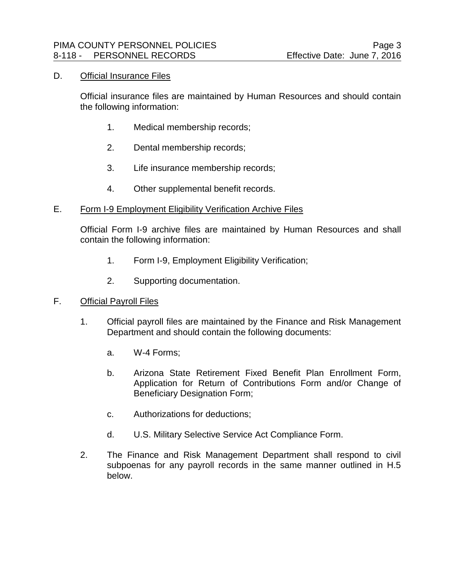### D. Official Insurance Files

Official insurance files are maintained by Human Resources and should contain the following information:

- 1. Medical membership records;
- 2. Dental membership records;
- 3. Life insurance membership records;
- 4. Other supplemental benefit records.
- E. Form I-9 Employment Eligibility Verification Archive Files

Official Form I-9 archive files are maintained by Human Resources and shall contain the following information:

- 1. Form I-9, Employment Eligibility Verification;
- 2. Supporting documentation.
- F. Official Payroll Files
	- 1. Official payroll files are maintained by the Finance and Risk Management Department and should contain the following documents:
		- a. W-4 Forms;
		- b. Arizona State Retirement Fixed Benefit Plan Enrollment Form, Application for Return of Contributions Form and/or Change of Beneficiary Designation Form;
		- c. Authorizations for deductions;
		- d. U.S. Military Selective Service Act Compliance Form.
	- 2. The Finance and Risk Management Department shall respond to civil subpoenas for any payroll records in the same manner outlined in H.5 below.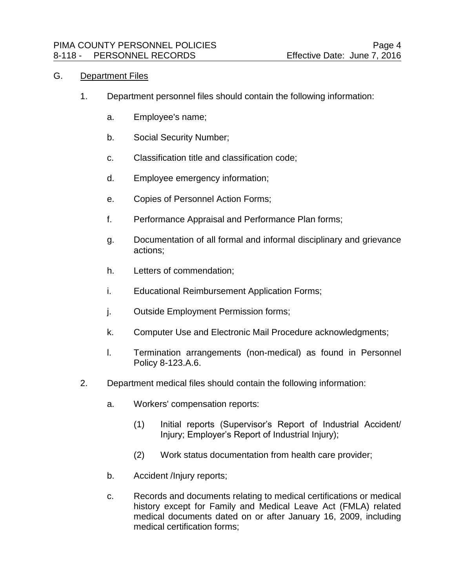# G. Department Files

- 1. Department personnel files should contain the following information:
	- a. Employee's name;
	- b. Social Security Number;
	- c. Classification title and classification code;
	- d. Employee emergency information;
	- e. Copies of Personnel Action Forms;
	- f. Performance Appraisal and Performance Plan forms;
	- g. Documentation of all formal and informal disciplinary and grievance actions;
	- h. Letters of commendation;
	- i. Educational Reimbursement Application Forms;
	- j. Outside Employment Permission forms;
	- k. Computer Use and Electronic Mail Procedure acknowledgments;
	- l. Termination arrangements (non-medical) as found in Personnel Policy 8-123.A.6.
- 2. Department medical files should contain the following information:
	- a. Workers' compensation reports:
		- (1) Initial reports (Supervisor's Report of Industrial Accident/ Injury; Employer's Report of Industrial Injury);
		- (2) Work status documentation from health care provider;
	- b. Accident /Injury reports;
	- c. Records and documents relating to medical certifications or medical history except for Family and Medical Leave Act (FMLA) related medical documents dated on or after January 16, 2009, including medical certification forms;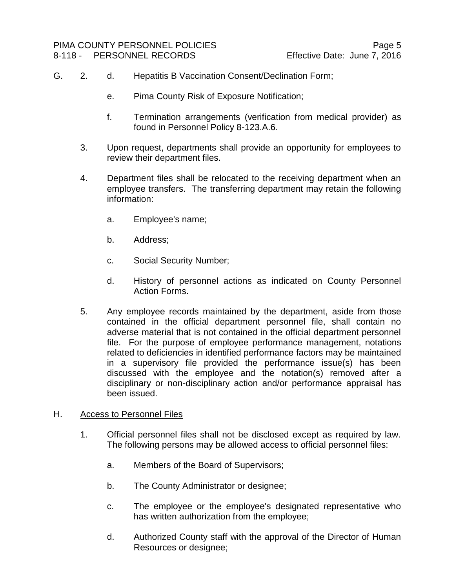- G. 2. d. Hepatitis B Vaccination Consent/Declination Form;
	- e. Pima County Risk of Exposure Notification;
	- f. Termination arrangements (verification from medical provider) as found in Personnel Policy 8-123.A.6.
	- 3. Upon request, departments shall provide an opportunity for employees to review their department files.
	- 4. Department files shall be relocated to the receiving department when an employee transfers. The transferring department may retain the following information:
		- a. Employee's name;
		- b. Address;
		- c. Social Security Number;
		- d. History of personnel actions as indicated on County Personnel Action Forms.
	- 5. Any employee records maintained by the department, aside from those contained in the official department personnel file, shall contain no adverse material that is not contained in the official department personnel file. For the purpose of employee performance management, notations related to deficiencies in identified performance factors may be maintained in a supervisory file provided the performance issue(s) has been discussed with the employee and the notation(s) removed after a disciplinary or non-disciplinary action and/or performance appraisal has been issued.
- H. Access to Personnel Files
	- 1. Official personnel files shall not be disclosed except as required by law. The following persons may be allowed access to official personnel files:
		- a. Members of the Board of Supervisors;
		- b. The County Administrator or designee;
		- c. The employee or the employee's designated representative who has written authorization from the employee;
		- d. Authorized County staff with the approval of the Director of Human Resources or designee;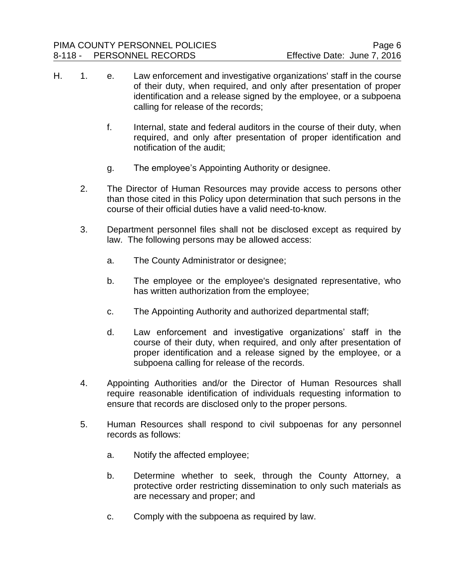- H. 1. e. Law enforcement and investigative organizations' staff in the course of their duty, when required, and only after presentation of proper identification and a release signed by the employee, or a subpoena calling for release of the records;
	- f. Internal, state and federal auditors in the course of their duty, when required, and only after presentation of proper identification and notification of the audit;
	- g. The employee's Appointing Authority or designee.
	- 2. The Director of Human Resources may provide access to persons other than those cited in this Policy upon determination that such persons in the course of their official duties have a valid need-to-know.
	- 3. Department personnel files shall not be disclosed except as required by law. The following persons may be allowed access:
		- a. The County Administrator or designee;
		- b. The employee or the employee's designated representative, who has written authorization from the employee;
		- c. The Appointing Authority and authorized departmental staff;
		- d. Law enforcement and investigative organizations' staff in the course of their duty, when required, and only after presentation of proper identification and a release signed by the employee, or a subpoena calling for release of the records.
	- 4. Appointing Authorities and/or the Director of Human Resources shall require reasonable identification of individuals requesting information to ensure that records are disclosed only to the proper persons.
	- 5. Human Resources shall respond to civil subpoenas for any personnel records as follows:
		- a. Notify the affected employee;
		- b. Determine whether to seek, through the County Attorney, a protective order restricting dissemination to only such materials as are necessary and proper; and
		- c. Comply with the subpoena as required by law.